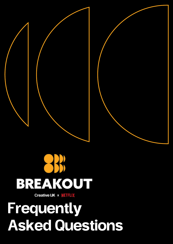# BREAKOUT

**Creative UK x NETFLIX** 

# Frequently Asked Questions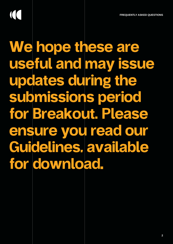# $\overline{\mathcal{L}}$

We hope these are useful and may issue updates during the submissions period for Breakout. Please ensure you read our [Guidelines, available](https://www.wearecreative.uk/wp-content/uploads/2022/02/Breakout-guidelines.pdf)  for download.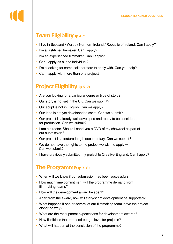# Team Eligibility (p.4-5)

- I live in Scotland / Wales / Northern Ireland / Republic of Ireland. Can I apply?
- I'm a first-time filmmaker. Can I apply?
- I'm an experienced filmmaker. Can I apply?
- Can I apply as a lone individual?
- I'm a looking for some collaborators to apply with. Can you help?
- Can I apply with more than one project?

## Project Eligibility (p.5-7)

- Are you looking for a particular genre or type of story?
- Our story is not set in the UK. Can we submit?
- Our script is not in English. Can we apply?
- Our idea is not yet developed to script. Can we submit?
- Our project is already well developed and ready to be considered for production. Can we submit?
- I am a director. Should I send you a DVD of my showreel as part of our submission?
- Our project is a feature-length documentary. Can we submit?
- We do not have the rights to the project we wish to apply with. Can we submit?
- I have previously submitted my project to Creative England. Can I apply?

### The Programme (p.7-8)

- When will we know if our submission has been successful?
- How much time commitment will the programme demand from filmmaking teams?
- How will the development award be spent?
- Apart from the award, how will story/script development be supported?
- What happens if one or several of our filmmaking team leave the project along the way?
- What are the recoupment expectations for development awards?
- How flexible is the proposed budget level for projects?
- What will happen at the conclusion of the programme?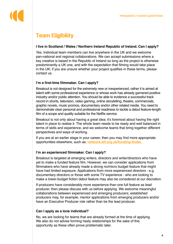# Team Eligibility

#### **I live in Scotland / Wales / Northern Ireland Republic of Ireland. Can I apply?**

Yes. Individual team members can live anywhere in the UK and we welcome pan-national and regional collaborations. We can accept submissions where a key creative is based in the Republic of Ireland so long as the project is otherwise predominantly a UK one, and with the expectation that filming would take place in the UK; if you are unsure whether your project qualifies in these terms, please contact us.

#### **I'm a first-time filmmaker. Can I apply?**

Breakout is not designed for the extremely new or inexperienced, rather it is aimed at talent with some professional experience or whose work has already garnered positive industry and/or public attention. You should be able to evidence a successful track record in shorts, television, video gaming, online storytelling, theatre, commercials, graphic novels, music promos, documentary and/or other related media. You need to demonstrate clear personal and professional readiness to tackle a debut feature-length film of a scope and quality suitable for the Netflix service.

Breakout is not only about having a great idea; it's foremost about having the right talent in place to realise it. The whole team needs to be ready and well balanced in terms of skills and experience, and we welcome teams that bring together different perspectives and ways of working.

If you are at an earlier stage in your career, then you may find more appropriate opportunities elsewhere, such as: **network.bfi.org.uk/funding-finder.** 

#### **I'm an experienced filmmaker. Can I apply?**

Breakout is targeted at emerging writers, directors and writer/directors who have yet to make a funded feature film. However, we can consider applications from filmmakers who have already made a strong no/micro budget feature that might have had limited exposure. Applications from more experienced directors - e.g. documentary directors or those with some TV experience - who are looking to make a lower-budget fiction debut feature may also be considered at our discretion.

If producers have considerably more experience than one full feature as lead producer, then please discuss with us before applying. We welcome meaningful collaborations between experienced and emerging producers; established producers may, for example, mentor applications from emerging producers and/or have an Executive Producer role rather than be the lead producer.

#### **Can I apply as a lone individual?**

No, we are looking for teams that are already formed at the time of applying. We also do not advise forming hasty relationships for the sake of this opportunity as these often prove problematic later.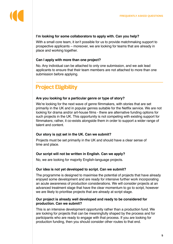#### **I'm looking for some collaborators to apply with. Can you help?**

With a small core team, it isn't possible for us to provide matchmaking support to prospective applicants – moreover, we are looking for teams that are already in place and working together.

#### **Can I apply with more than one project?**

No. Any individual can be attached to only one submission, and we ask lead applicants to ensure that their team members are not attached to more than one submission before applying.

# Project Eligibility

#### **Are you looking for a particular genre or type of story?**

We're looking for the next wave of genre filmmakers, with stories that are set primarily in the UK and in popular genres suitable for the Netflix service. We are not looking for drama and/or art-house films - there are alternative funding options for such projects in the UK. This opportunity is not competing with existing support for filmmakers; rather, it co-exists alongside them in order to support a wider range of talent and content.

#### **Our story is not set in the UK. Can we submit?**

Projects must be set primarily in the UK and should have a clear sense of time and place.

#### **Our script will not be written in English. Can we apply?**

No, we are looking for majority English-language projects.

#### **Our idea is not yet developed to script. Can we submit?**

The programme is designed to maximise the potential of projects that have already enjoyed some development and are ready for intensive further work incorporating an acute awareness of production considerations. We will consider projects at an advanced treatment stage that have the clear momentum to go to script, however we are likely to prioritise projects that are already at script stage.

#### **Our project is already well developed and ready to be considered for production. Can we submit?**

This is an intensive development opportunity rather than a production fund. We are looking for projects that can be meaningfully shaped by the process and for participants who are ready to engage with that process. If you are looking for production funding, then you should consider other routes to that end.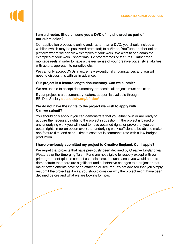#### **I am a director. Should I send you a DVD of my showreel as part of our submission?**

Our application process is online and, rather than a DVD, you should include a weblink (which may be password protected) to a Vimeo, YouTube or other online platform where we can view examples of your work. We want to see complete examples of your work - short films, TV programmes or features – rather than montage reels in order to have a clearer sense of your creative voice, style, abilities with actors, approach to narrative etc.

We can only accept DVDs in extremely exceptional circumstances and you will need to discuss this with us in advance.

#### **Our project is a feature-length documentary. Can we submit?**

We are unable to accept documentary proposals; all projects must be fiction.

If your project is a documentary feature, support is available through BFI Doc Society **docsociety.org/bfi-doc/** 

#### **We do not have the rights to the project we wish to apply with. Can we submit?**

You should only apply if you can demonstrate that you either own or are ready to acquire the necessary rights to the project in question. If the project is based on any underlying work you will need to have obtained rights or prove that you can obtain rights in (or an option over) that underlying work sufficient to be able to make one feature film, and at an ultimate cost that is commensurate with a low-budget production.

#### **I have previously submitted my project to Creative England. Can I apply?**

We regret that projects that have previously been declined by Creative England via iFeatures or the Emerging Talent Fund are not eligible to reapply except with our prior agreement (please contact us to discuss). In such cases, you would need to demonstrate that there are significant and substantive changes to a project or that major new elements have been attached or secured. It's not advised that you simply resubmit the project as it was; you should consider why the project might have been declined before and what we are looking for now.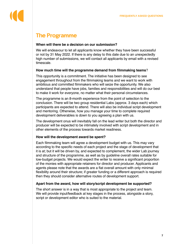# The Programme

#### **When will there be a decision on our submission?**

We will endeavour to let all applicants know whether they have been successful or not by 31 May 2022. If there is any delay to this date due to an unexpectedly high number of submissions, we will contact all applicants by email with a revised timescale.

#### **How much time will the programme demand from filmmaking teams**?

This opportunity is a commitment. The initiative has been designed to see engagement throughout from the filmmaking teams and we want to work with ambitious and committed filmmakers who will seize the opportunity. We also understand that people have jobs, families and responsibilities and will do our best to make it work for everyone, no matter what their personal circumstances.

The programme is an 8-month experience from the point of selection to the conclusion. There will be two group residential Labs (approx. 3 days each) which participants are expected to attend. There will also be individual script development and mentoring. Otherwise, how you manage your time to complete required development deliverables is down to you agreeing a plan with us.

The development onus will inevitably fall on the lead writer but both the director and producer will be expected to be intimately involved with script development and in other elements of the process towards market readiness.

#### **How will the development award be spent?**

Each filmmaking team will agree a development budget with us. This may vary according to the specific needs of each project and the stage of development that it is at; but it will be driven by, and expected to complement, the wider Lab journey and structure of the programme, as well as by guideline overall rates suitable for low-budget projects. We would expect the writer to receive a significant proportion of the monies with appropriate retainers for director and producer. Applicants and agents please note that the awards are a flat overall amount with only minimal flexibility around their structure; if greater funding or a different approach is required then they should consider alternative routes of development support.

#### **Apart from the award, how will story/script development be supported?**

The short answer is in a way that is most appropriate to the project and team. We will provide input/feedback at key stages in the process, alongside a story, script or development editor who is suited to the material.